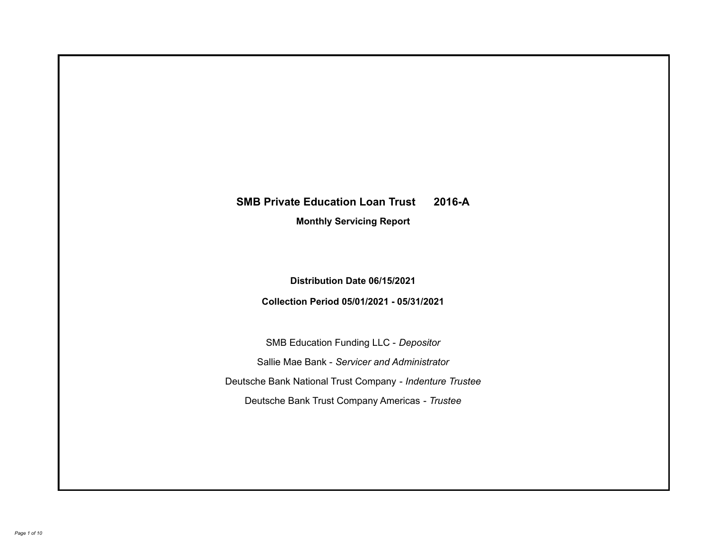# **SMB Private Education Loan Trust 2016-A**

**Monthly Servicing Report**

**Distribution Date 06/15/2021**

**Collection Period 05/01/2021 - 05/31/2021**

SMB Education Funding LLC - *Depositor* Sallie Mae Bank - *Servicer and Administrator* Deutsche Bank National Trust Company - *Indenture Trustee* Deutsche Bank Trust Company Americas - *Trustee*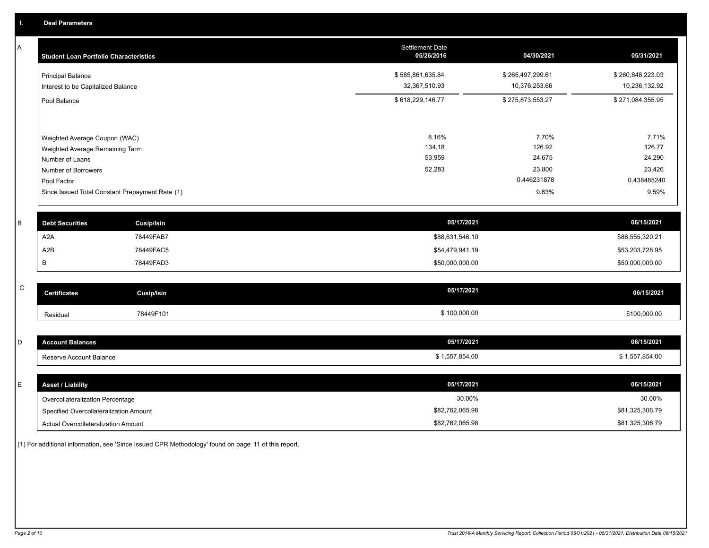A

| A | <b>Student Loan Portfolio Characteristics</b>                                       |                                                 | Settlement Date<br>05/26/2016     | 04/30/2021                        | 05/31/2021                        |
|---|-------------------------------------------------------------------------------------|-------------------------------------------------|-----------------------------------|-----------------------------------|-----------------------------------|
|   | <b>Principal Balance</b><br>Interest to be Capitalized Balance                      |                                                 | \$585,861,635.84<br>32,367,510.93 | \$265,497,299.61<br>10,376,253.66 | \$260,848,223.03<br>10,236,132.92 |
|   | Pool Balance                                                                        |                                                 | \$618,229,146.77                  | \$275,873,553.27                  | \$271,084,355.95                  |
|   | Weighted Average Coupon (WAC)<br>Weighted Average Remaining Term<br>Number of Loans |                                                 | 8.16%<br>134.18<br>53,959         | 7.70%<br>126.92<br>24,675         | 7.71%<br>126.77<br>24,290         |
|   | Number of Borrowers<br>Pool Factor                                                  |                                                 | 52,283                            | 23,800<br>0.446231878             | 23,426<br>0.438485240             |
|   |                                                                                     | Since Issued Total Constant Prepayment Rate (1) |                                   | 9.63%                             | 9.59%                             |
| B | <b>Debt Securities</b>                                                              | Cusip/Isin                                      |                                   | 05/17/2021                        | 06/15/2021                        |
|   | A <sub>2</sub> A                                                                    | 78449FAB7                                       |                                   | \$88,631,546.10                   | \$86,555,320.21                   |
|   | A2B                                                                                 | 78449FAC5                                       |                                   | \$54,479,941.19                   | \$53,203,728.95                   |
|   | В                                                                                   | 78449FAD3                                       |                                   | \$50,000,000.00                   | \$50,000,000.00                   |
|   |                                                                                     |                                                 |                                   |                                   |                                   |

| ~<br>້ | <b>Certificates</b> | <b>Cusip/Isin</b> | 05/17/2021 | 06/15/2021   |
|--------|---------------------|-------------------|------------|--------------|
|        | Residual            | 78449F101         | 100.000.00 | \$100,000.00 |

| count Balances          | 05/17/2021   | 06/15/2021              |
|-------------------------|--------------|-------------------------|
| Reserve Account Balance | 1,557,854.00 | $-57.954.00$<br>.004.UU |

| <b>Asset / Liability</b>               | 05/17/2021      | 06/15/2021      |
|----------------------------------------|-----------------|-----------------|
| Overcollateralization Percentage       | 30.00%          | 30.00%          |
| Specified Overcollateralization Amount | \$82,762,065.98 | \$81,325,306.79 |
| Actual Overcollateralization Amount    | \$82,762,065.98 | \$81,325,306.79 |

(1) For additional information, see 'Since Issued CPR Methodology' found on page 11 of this report.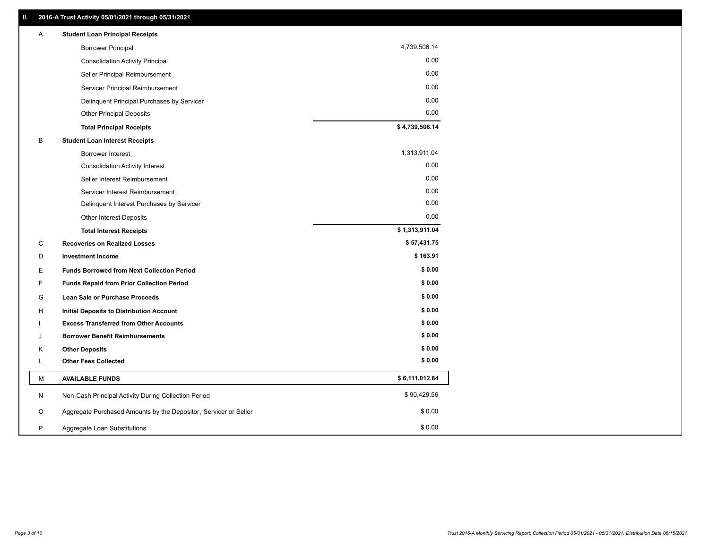| Α | <b>Student Loan Principal Receipts</b>                           |                |
|---|------------------------------------------------------------------|----------------|
|   | <b>Borrower Principal</b>                                        | 4,739,506.14   |
|   | <b>Consolidation Activity Principal</b>                          | 0.00           |
|   | Seller Principal Reimbursement                                   | 0.00           |
|   | Servicer Principal Reimbursement                                 | 0.00           |
|   | Delinquent Principal Purchases by Servicer                       | 0.00           |
|   | <b>Other Principal Deposits</b>                                  | 0.00           |
|   | <b>Total Principal Receipts</b>                                  | \$4,739,506.14 |
| В | <b>Student Loan Interest Receipts</b>                            |                |
|   | Borrower Interest                                                | 1,313,911.04   |
|   | <b>Consolidation Activity Interest</b>                           | 0.00           |
|   | Seller Interest Reimbursement                                    | 0.00           |
|   | Servicer Interest Reimbursement                                  | 0.00           |
|   | Delinquent Interest Purchases by Servicer                        | 0.00           |
|   | <b>Other Interest Deposits</b>                                   | 0.00           |
|   | <b>Total Interest Receipts</b>                                   | \$1,313,911.04 |
| С | <b>Recoveries on Realized Losses</b>                             | \$57,431.75    |
| D | <b>Investment Income</b>                                         | \$163.91       |
| Е | <b>Funds Borrowed from Next Collection Period</b>                | \$0.00         |
| F | <b>Funds Repaid from Prior Collection Period</b>                 | \$0.00         |
| G | Loan Sale or Purchase Proceeds                                   | \$0.00         |
| н | <b>Initial Deposits to Distribution Account</b>                  | \$0.00         |
|   | <b>Excess Transferred from Other Accounts</b>                    | \$0.00         |
| J | <b>Borrower Benefit Reimbursements</b>                           | \$0.00         |
| Κ | <b>Other Deposits</b>                                            | \$0.00         |
| L | <b>Other Fees Collected</b>                                      | \$0.00         |
| м | <b>AVAILABLE FUNDS</b>                                           | \$6,111,012.84 |
| N | Non-Cash Principal Activity During Collection Period             | \$90,429.56    |
| O | Aggregate Purchased Amounts by the Depositor, Servicer or Seller | \$0.00         |
| P | Aggregate Loan Substitutions                                     | \$0.00         |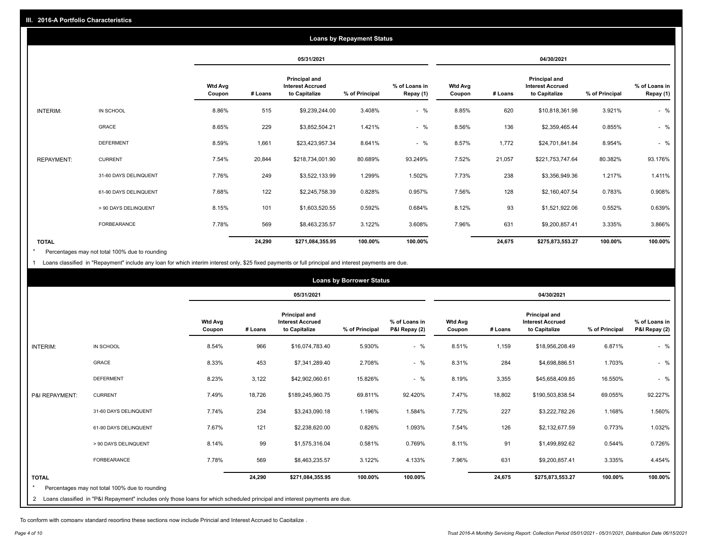|                   |                       |                          |         |                                                           | <b>Loans by Repayment Status</b> |                            |                          |         |                                                           |                |                            |
|-------------------|-----------------------|--------------------------|---------|-----------------------------------------------------------|----------------------------------|----------------------------|--------------------------|---------|-----------------------------------------------------------|----------------|----------------------------|
|                   |                       |                          |         | 05/31/2021                                                |                                  |                            |                          |         | 04/30/2021                                                |                |                            |
|                   |                       | <b>Wtd Avg</b><br>Coupon | # Loans | Principal and<br><b>Interest Accrued</b><br>to Capitalize | % of Principal                   | % of Loans in<br>Repay (1) | <b>Wtd Avg</b><br>Coupon | # Loans | Principal and<br><b>Interest Accrued</b><br>to Capitalize | % of Principal | % of Loans in<br>Repay (1) |
| INTERIM:          | IN SCHOOL             | 8.86%                    | 515     | \$9,239,244.00                                            | 3.408%                           | $-$ %                      | 8.85%                    | 620     | \$10,818,361.98                                           | 3.921%         | $-$ %                      |
|                   | GRACE                 | 8.65%                    | 229     | \$3,852,504.21                                            | 1.421%                           | $-$ %                      | 8.56%                    | 136     | \$2,359,465.44                                            | 0.855%         | $-$ %                      |
|                   | <b>DEFERMENT</b>      | 8.59%                    | 1,661   | \$23,423,957.34                                           | 8.641%                           | $-$ %                      | 8.57%                    | 1,772   | \$24,701,841.84                                           | 8.954%         | $-$ %                      |
| <b>REPAYMENT:</b> | <b>CURRENT</b>        | 7.54%                    | 20,844  | \$218,734,001.90                                          | 80.689%                          | 93.249%                    | 7.52%                    | 21,057  | \$221,753,747.64                                          | 80.382%        | 93.176%                    |
|                   | 31-60 DAYS DELINQUENT | 7.76%                    | 249     | \$3,522,133.99                                            | 1.299%                           | 1.502%                     | 7.73%                    | 238     | \$3,356,949.36                                            | 1.217%         | 1.411%                     |
|                   | 61-90 DAYS DELINQUENT | 7.68%                    | 122     | \$2,245,758.39                                            | 0.828%                           | 0.957%                     | 7.56%                    | 128     | \$2,160,407.54                                            | 0.783%         | 0.908%                     |
|                   | > 90 DAYS DELINQUENT  | 8.15%                    | 101     | \$1,603,520.55                                            | 0.592%                           | 0.684%                     | 8.12%                    | 93      | \$1,521,922.06                                            | 0.552%         | 0.639%                     |
|                   | <b>FORBEARANCE</b>    | 7.78%                    | 569     | \$8,463,235.57                                            | 3.122%                           | 3.608%                     | 7.96%                    | 631     | \$9,200,857.41                                            | 3.335%         | 3.866%                     |
| <b>TOTAL</b>      |                       |                          | 24,290  | \$271,084,355.95                                          | 100.00%                          | 100.00%                    |                          | 24,675  | \$275,873,553.27                                          | 100.00%        | 100.00%                    |

Percentages may not total 100% due to rounding \*

1 Loans classified in "Repayment" include any loan for which interim interest only, \$25 fixed payments or full principal and interest payments are due.

| <b>Loans by Borrower Status</b> |                                                                                                                              |                          |         |                                                           |                |                                |                          |         |                                                                  |                |                                |
|---------------------------------|------------------------------------------------------------------------------------------------------------------------------|--------------------------|---------|-----------------------------------------------------------|----------------|--------------------------------|--------------------------|---------|------------------------------------------------------------------|----------------|--------------------------------|
|                                 |                                                                                                                              |                          |         | 05/31/2021                                                |                |                                | 04/30/2021               |         |                                                                  |                |                                |
|                                 |                                                                                                                              | <b>Wtd Avg</b><br>Coupon | # Loans | Principal and<br><b>Interest Accrued</b><br>to Capitalize | % of Principal | % of Loans in<br>P&I Repay (2) | <b>Wtd Avg</b><br>Coupon | # Loans | <b>Principal and</b><br><b>Interest Accrued</b><br>to Capitalize | % of Principal | % of Loans in<br>P&I Repay (2) |
| <b>INTERIM:</b>                 | IN SCHOOL                                                                                                                    | 8.54%                    | 966     | \$16,074,783.40                                           | 5.930%         | $-$ %                          | 8.51%                    | 1,159   | \$18,956,208.49                                                  | 6.871%         | $-$ %                          |
|                                 | <b>GRACE</b>                                                                                                                 | 8.33%                    | 453     | \$7,341,289.40                                            | 2.708%         | $-$ %                          | 8.31%                    | 284     | \$4,698,886.51                                                   | 1.703%         | $-$ %                          |
|                                 | <b>DEFERMENT</b>                                                                                                             | 8.23%                    | 3,122   | \$42,902,060.61                                           | 15.826%        | $-$ %                          | 8.19%                    | 3,355   | \$45,658,409.85                                                  | 16.550%        | $-$ %                          |
| P&I REPAYMENT:                  | <b>CURRENT</b>                                                                                                               | 7.49%                    | 18,726  | \$189,245,960.75                                          | 69.811%        | 92.420%                        | 7.47%                    | 18,802  | \$190,503,838.54                                                 | 69.055%        | 92.227%                        |
|                                 | 31-60 DAYS DELINQUENT                                                                                                        | 7.74%                    | 234     | \$3,243,090.18                                            | 1.196%         | 1.584%                         | 7.72%                    | 227     | \$3,222,782.26                                                   | 1.168%         | 1.560%                         |
|                                 | 61-90 DAYS DELINQUENT                                                                                                        | 7.67%                    | 121     | \$2,238,620.00                                            | 0.826%         | 1.093%                         | 7.54%                    | 126     | \$2,132,677.59                                                   | 0.773%         | 1.032%                         |
|                                 | > 90 DAYS DELINQUENT                                                                                                         | 8.14%                    | 99      | \$1,575,316.04                                            | 0.581%         | 0.769%                         | 8.11%                    | 91      | \$1,499,892.62                                                   | 0.544%         | 0.726%                         |
|                                 | <b>FORBEARANCE</b>                                                                                                           | 7.78%                    | 569     | \$8,463,235.57                                            | 3.122%         | 4.133%                         | 7.96%                    | 631     | \$9,200,857.41                                                   | 3.335%         | 4.454%                         |
| <b>TOTAL</b>                    | Percentages may not total 100% due to rounding                                                                               |                          | 24,290  | \$271,084,355.95                                          | 100.00%        | 100.00%                        |                          | 24,675  | \$275,873,553.27                                                 | 100.00%        | 100.00%                        |
|                                 | 2 Loans classified in "P&I Repayment" includes only those loans for which scheduled principal and interest payments are due. |                          |         |                                                           |                |                                |                          |         |                                                                  |                |                                |

To conform with company standard reporting these sections now include Princial and Interest Accrued to Capitalize .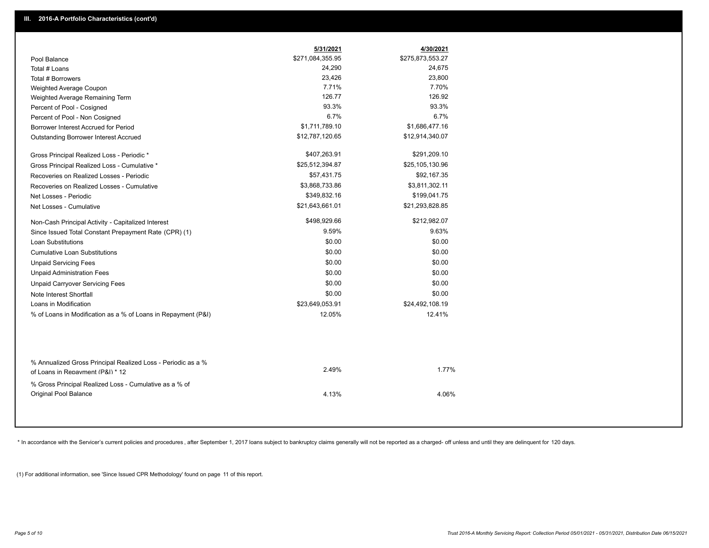|                                                                                                  | 5/31/2021        | 4/30/2021        |
|--------------------------------------------------------------------------------------------------|------------------|------------------|
| Pool Balance                                                                                     | \$271,084,355.95 | \$275,873,553.27 |
| Total # Loans                                                                                    | 24,290           | 24,675           |
| Total # Borrowers                                                                                | 23,426           | 23,800           |
| Weighted Average Coupon                                                                          | 7.71%            | 7.70%            |
| Weighted Average Remaining Term                                                                  | 126.77           | 126.92           |
| Percent of Pool - Cosigned                                                                       | 93.3%            | 93.3%            |
| Percent of Pool - Non Cosigned                                                                   | 6.7%             | 6.7%             |
| Borrower Interest Accrued for Period                                                             | \$1,711,789.10   | \$1,686,477.16   |
| Outstanding Borrower Interest Accrued                                                            | \$12,787,120.65  | \$12,914,340.07  |
| Gross Principal Realized Loss - Periodic *                                                       | \$407,263.91     | \$291,209.10     |
| Gross Principal Realized Loss - Cumulative *                                                     | \$25,512,394.87  | \$25,105,130.96  |
| Recoveries on Realized Losses - Periodic                                                         | \$57,431.75      | \$92,167.35      |
| Recoveries on Realized Losses - Cumulative                                                       | \$3,868,733.86   | \$3,811,302.11   |
| Net Losses - Periodic                                                                            | \$349,832.16     | \$199,041.75     |
| Net Losses - Cumulative                                                                          | \$21,643,661.01  | \$21,293,828.85  |
| Non-Cash Principal Activity - Capitalized Interest                                               | \$498,929.66     | \$212,982.07     |
| Since Issued Total Constant Prepayment Rate (CPR) (1)                                            | 9.59%            | 9.63%            |
| <b>Loan Substitutions</b>                                                                        | \$0.00           | \$0.00           |
| <b>Cumulative Loan Substitutions</b>                                                             | \$0.00           | \$0.00           |
| <b>Unpaid Servicing Fees</b>                                                                     | \$0.00           | \$0.00           |
| <b>Unpaid Administration Fees</b>                                                                | \$0.00           | \$0.00           |
| <b>Unpaid Carryover Servicing Fees</b>                                                           | \$0.00           | \$0.00           |
| Note Interest Shortfall                                                                          | \$0.00           | \$0.00           |
| Loans in Modification                                                                            | \$23,649,053.91  | \$24,492,108.19  |
| % of Loans in Modification as a % of Loans in Repayment (P&I)                                    | 12.05%           | 12.41%           |
|                                                                                                  |                  |                  |
| % Annualized Gross Principal Realized Loss - Periodic as a %<br>of Loans in Repayment (P&I) * 12 | 2.49%            | 1.77%            |
| % Gross Principal Realized Loss - Cumulative as a % of                                           |                  |                  |
| Original Pool Balance                                                                            | 4.13%            | 4.06%            |
|                                                                                                  |                  |                  |

\* In accordance with the Servicer's current policies and procedures, after September 1, 2017 loans subject to bankruptcy claims generally will not be reported as a charged- off unless and until they are delinquent for 120

(1) For additional information, see 'Since Issued CPR Methodology' found on page 11 of this report.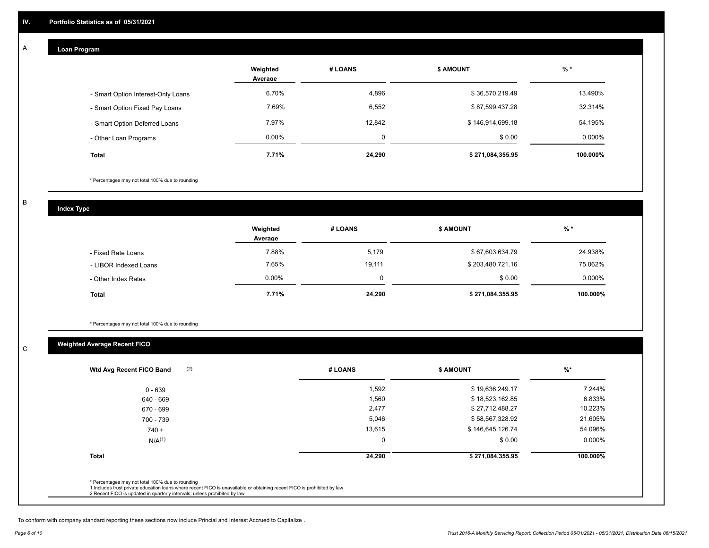#### **Loan Program**  A

|                                    | Weighted<br>Average | # LOANS     | <b>\$ AMOUNT</b> | $%$ *    |
|------------------------------------|---------------------|-------------|------------------|----------|
| - Smart Option Interest-Only Loans | 6.70%               | 4,896       | \$36,570,219.49  | 13.490%  |
| - Smart Option Fixed Pay Loans     | 7.69%               | 6,552       | \$87,599,437.28  | 32.314%  |
| - Smart Option Deferred Loans      | 7.97%               | 12.842      | \$146,914,699.18 | 54.195%  |
| - Other Loan Programs              | $0.00\%$            | $\mathbf 0$ | \$0.00           | 0.000%   |
| <b>Total</b>                       | 7.71%               | 24,290      | \$271,084,355.95 | 100.000% |

\* Percentages may not total 100% due to rounding

B

C

**Index Type**

|                       | Weighted<br>Average | # LOANS | <b>\$ AMOUNT</b> | % *      |
|-----------------------|---------------------|---------|------------------|----------|
| - Fixed Rate Loans    | 7.88%               | 5,179   | \$67,603,634.79  | 24.938%  |
| - LIBOR Indexed Loans | 7.65%               | 19,111  | \$203,480,721.16 | 75.062%  |
| - Other Index Rates   | $0.00\%$            | 0       | \$0.00           | 0.000%   |
| <b>Total</b>          | 7.71%               | 24,290  | \$271,084,355.95 | 100.000% |

\* Percentages may not total 100% due to rounding

# **Weighted Average Recent FICO**

|              | # LOANS | <b>\$ AMOUNT</b> | $\frac{9}{6}$ * |
|--------------|---------|------------------|-----------------|
| $0 - 639$    | 1,592   | \$19,636,249.17  | 7.244%          |
| 640 - 669    | 1,560   | \$18,523,162.85  | 6.833%          |
| 670 - 699    | 2,477   | \$27,712,488.27  | 10.223%         |
| 700 - 739    | 5,046   | \$58,567,328.92  | 21.605%         |
| $740 +$      | 13,615  | \$146,645,126.74 | 54.096%         |
| $N/A^{(1)}$  | 0       | \$0.00           | $0.000\%$       |
| <b>Total</b> | 24,290  | \$271,084,355.95 | 100.000%        |

To conform with company standard reporting these sections now include Princial and Interest Accrued to Capitalize .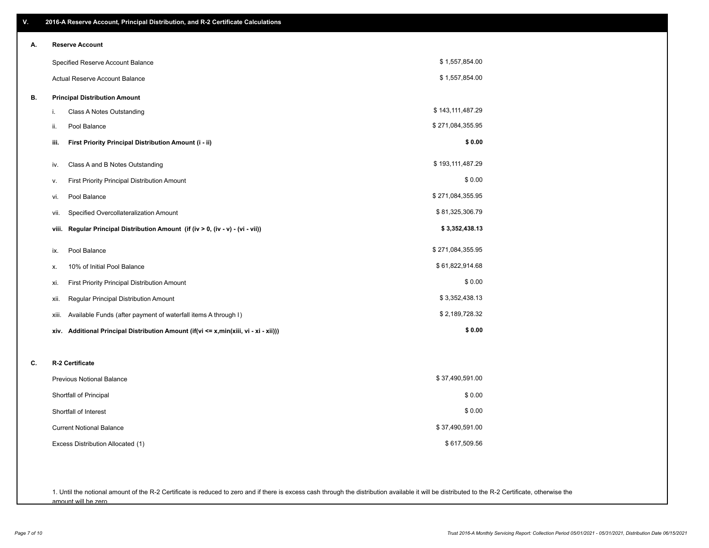| V. | 2016-A Reserve Account, Principal Distribution, and R-2 Certificate Calculations     |                  |
|----|--------------------------------------------------------------------------------------|------------------|
| А. | <b>Reserve Account</b>                                                               |                  |
|    | Specified Reserve Account Balance                                                    | \$1,557,854.00   |
|    | Actual Reserve Account Balance                                                       | \$1,557,854.00   |
| В. | <b>Principal Distribution Amount</b>                                                 |                  |
|    | i.<br>Class A Notes Outstanding                                                      | \$143,111,487.29 |
|    | Pool Balance<br>ii.                                                                  | \$271,084,355.95 |
|    | First Priority Principal Distribution Amount (i - ii)<br>iii.                        | \$0.00           |
|    | Class A and B Notes Outstanding<br>iv.                                               | \$193,111,487.29 |
|    | First Priority Principal Distribution Amount<br>۷.                                   | \$0.00           |
|    | Pool Balance<br>vi.                                                                  | \$271,084,355.95 |
|    | Specified Overcollateralization Amount<br>vii.                                       | \$81,325,306.79  |
|    | Regular Principal Distribution Amount (if (iv > 0, (iv - v) - (vi - vii))<br>viii.   | \$3,352,438.13   |
|    | Pool Balance<br>ix.                                                                  | \$271,084,355.95 |
|    | 10% of Initial Pool Balance<br>х.                                                    | \$61,822,914.68  |
|    | First Priority Principal Distribution Amount<br>xi.                                  | \$0.00           |
|    | Regular Principal Distribution Amount<br>xii.                                        | \$3,352,438.13   |
|    | Available Funds (after payment of waterfall items A through I)<br>xiii.              | \$2,189,728.32   |
|    | xiv. Additional Principal Distribution Amount (if(vi <= x,min(xiii, vi - xi - xii))) | \$0.00           |
| C. | R-2 Certificate                                                                      |                  |
|    | <b>Previous Notional Balance</b>                                                     | \$37,490,591.00  |
|    | Shortfall of Principal                                                               | \$0.00           |
|    | Shortfall of Interest                                                                | \$0.00           |
|    | <b>Current Notional Balance</b>                                                      | \$37,490,591.00  |
|    | Excess Distribution Allocated (1)                                                    | \$617,509.56     |
|    |                                                                                      |                  |
|    |                                                                                      |                  |

1. Until the notional amount of the R-2 Certificate is reduced to zero and if there is excess cash through the distribution available it will be distributed to the R-2 Certificate, otherwise the amount will be zero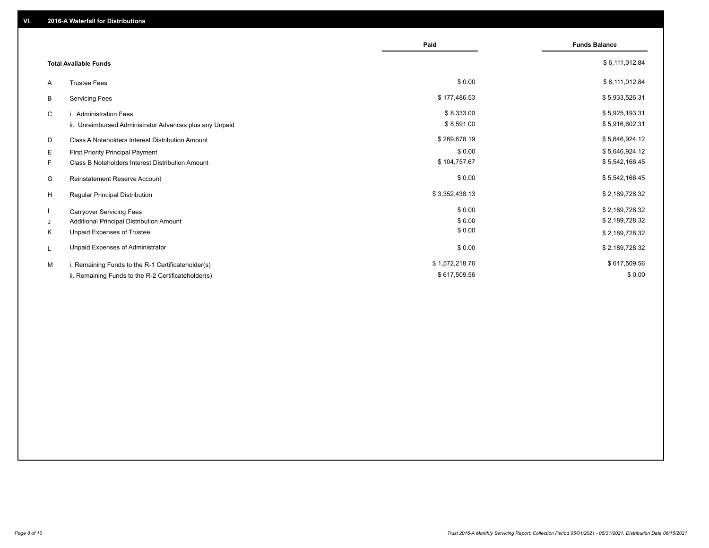|    |                                                         | Paid           | <b>Funds Balance</b> |
|----|---------------------------------------------------------|----------------|----------------------|
|    |                                                         |                |                      |
|    | <b>Total Available Funds</b>                            |                | \$6,111,012.84       |
| A  | <b>Trustee Fees</b>                                     | \$0.00         | \$6,111,012.84       |
| B  | <b>Servicing Fees</b>                                   | \$177,486.53   | \$5,933,526.31       |
| C  | i. Administration Fees                                  | \$8,333.00     | \$5,925,193.31       |
|    | ii. Unreimbursed Administrator Advances plus any Unpaid | \$8,591.00     | \$5,916,602.31       |
| D  | Class A Noteholders Interest Distribution Amount        | \$269,678.19   | \$5,646,924.12       |
| E  | First Priority Principal Payment                        | \$0.00         | \$5,646,924.12       |
| F. | Class B Noteholders Interest Distribution Amount        | \$104,757.67   | \$5,542,166.45       |
| G  | <b>Reinstatement Reserve Account</b>                    | \$0.00         | \$5,542,166.45       |
| H  | Regular Principal Distribution                          | \$3,352,438.13 | \$2,189,728.32       |
|    | <b>Carryover Servicing Fees</b>                         | \$0.00         | \$2,189,728.32       |
| J  | Additional Principal Distribution Amount                | \$0.00         | \$2,189,728.32       |
| Κ  | Unpaid Expenses of Trustee                              | \$0.00         | \$2,189,728.32       |
| L  | Unpaid Expenses of Administrator                        | \$0.00         | \$2,189,728.32       |
| M  | i. Remaining Funds to the R-1 Certificateholder(s)      | \$1,572,218.76 | \$617,509.56         |
|    | ii. Remaining Funds to the R-2 Certificateholder(s)     | \$617,509.56   | \$0.00               |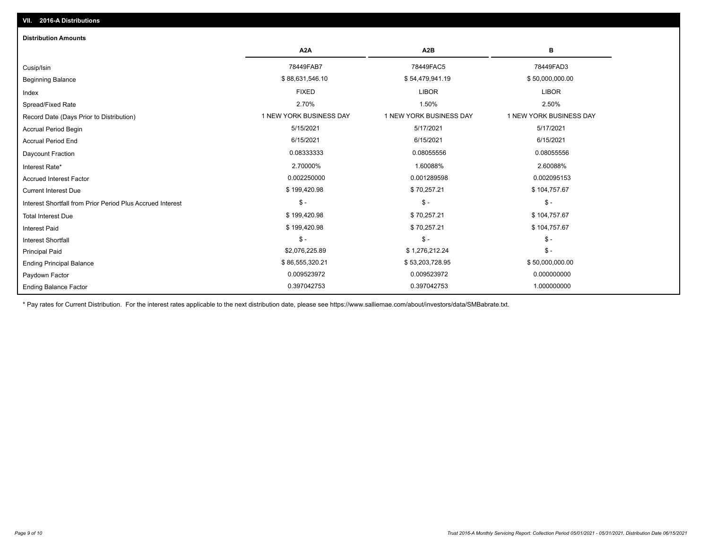| <b>Distribution Amounts</b>                                |                         |                         |                         |
|------------------------------------------------------------|-------------------------|-------------------------|-------------------------|
|                                                            | A <sub>2</sub> A        | A <sub>2</sub> B        | в                       |
| Cusip/Isin                                                 | 78449FAB7               | 78449FAC5               | 78449FAD3               |
| <b>Beginning Balance</b>                                   | \$88,631,546.10         | \$54,479,941.19         | \$50,000,000.00         |
| Index                                                      | <b>FIXED</b>            | <b>LIBOR</b>            | <b>LIBOR</b>            |
| Spread/Fixed Rate                                          | 2.70%                   | 1.50%                   | 2.50%                   |
| Record Date (Days Prior to Distribution)                   | 1 NEW YORK BUSINESS DAY | 1 NEW YORK BUSINESS DAY | 1 NEW YORK BUSINESS DAY |
| <b>Accrual Period Begin</b>                                | 5/15/2021               | 5/17/2021               | 5/17/2021               |
| <b>Accrual Period End</b>                                  | 6/15/2021               | 6/15/2021               | 6/15/2021               |
| <b>Daycount Fraction</b>                                   | 0.08333333              | 0.08055556              | 0.08055556              |
| Interest Rate*                                             | 2.70000%                | 1.60088%                | 2.60088%                |
| <b>Accrued Interest Factor</b>                             | 0.002250000             | 0.001289598             | 0.002095153             |
| <b>Current Interest Due</b>                                | \$199,420.98            | \$70,257.21             | \$104,757.67            |
| Interest Shortfall from Prior Period Plus Accrued Interest | $\mathcal{S}$ -         | $$ -$                   | $\mathsf{\$}$ -         |
| <b>Total Interest Due</b>                                  | \$199,420.98            | \$70,257.21             | \$104,757.67            |
| <b>Interest Paid</b>                                       | \$199,420.98            | \$70,257.21             | \$104,757.67            |
| <b>Interest Shortfall</b>                                  | $\mathsf{\$}$ -         | $$ -$                   | $$ -$                   |
| <b>Principal Paid</b>                                      | \$2,076,225.89          | \$1,276,212.24          | $$ -$                   |
| <b>Ending Principal Balance</b>                            | \$86,555,320.21         | \$53,203,728.95         | \$50,000,000.00         |
| Paydown Factor                                             | 0.009523972             | 0.009523972             | 0.000000000             |
| <b>Ending Balance Factor</b>                               | 0.397042753             | 0.397042753             | 1.000000000             |

\* Pay rates for Current Distribution. For the interest rates applicable to the next distribution date, please see https://www.salliemae.com/about/investors/data/SMBabrate.txt.

**VII. 2016-A Distributions**